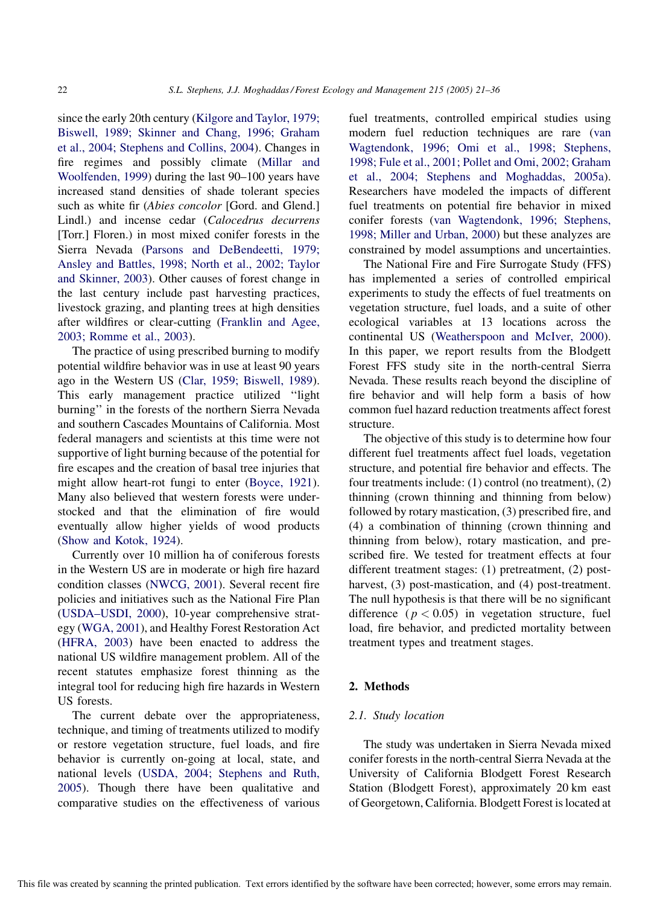since the early 20th century ([Kilgore and Taylor, 1979;](#page-14-0) [Biswell, 1989; Skinner and Chang, 1996; Graham](#page-14-0) [et al., 2004; Stephens and Collins, 2004\)](#page-14-0). Changes in fire regimes and possibly climate ([Millar and](#page-14-0) [Woolfenden, 1999](#page-14-0)) during the last 90–100 years have increased stand densities of shade tolerant species such as white fir (Abies concolor [Gord. and Glend.] Lindl.) and incense cedar (Calocedrus decurrens [Torr.] Floren.) in most mixed conifer forests in the Sierra Nevada ([Parsons and DeBendeetti, 1979;](#page-14-0) [Ansley and Battles, 1998; North et al., 2002; Taylor](#page-14-0) [and Skinner, 2003\)](#page-14-0). Other causes of forest change in the last century include past harvesting practices, livestock grazing, and planting trees at high densities after wildfires or clear-cutting [\(Franklin and Agee,](#page-13-0) [2003; Romme et al., 2003\)](#page-13-0).

The practice of using prescribed burning to modify potential wildfire behavior was in use at least 90 years ago in the Western US ([Clar, 1959; Biswell, 1989\)](#page-13-0). This early management practice utilized ''light burning'' in the forests of the northern Sierra Nevada and southern Cascades Mountains of California. Most federal managers and scientists at this time were not supportive of light burning because of the potential for fire escapes and the creation of basal tree injuries that might allow heart-rot fungi to enter ([Boyce, 1921\)](#page-13-0). Many also believed that western forests were understocked and that the elimination of fire would eventually allow higher yields of wood products ([Show and Kotok, 1924\)](#page-15-0).

Currently over 10 million ha of coniferous forests in the Western US are in moderate or high fire hazard condition classes ([NWCG, 2001](#page-14-0)). Several recent fire policies and initiatives such as the National Fire Plan ([USDA–USDI, 2000](#page-15-0)), 10-year comprehensive strategy [\(WGA, 2001](#page-15-0)), and Healthy Forest Restoration Act ([HFRA, 2003\)](#page-14-0) have been enacted to address the national US wildfire management problem. All of the recent statutes emphasize forest thinning as the integral tool for reducing high fire hazards in Western US forests.

The current debate over the appropriateness, technique, and timing of treatments utilized to modify or restore vegetation structure, fuel loads, and fire behavior is currently on-going at local, state, and national levels ([USDA, 2004; Stephens and Ruth,](#page-15-0) [2005](#page-15-0)). Though there have been qualitative and comparative studies on the effectiveness of various fuel treatments, controlled empirical studies using modern fuel reduction techniques are rare [\(van](#page-15-0) [Wagtendonk, 1996; Omi et al., 1998; Stephens,](#page-15-0) [1998; Fule et al., 2001; Pollet and Omi, 2002; Graham](#page-15-0) [et al., 2004; Stephens and Moghaddas, 2005a\)](#page-15-0). Researchers have modeled the impacts of different fuel treatments on potential fire behavior in mixed conifer forests [\(van Wagtendonk, 1996; Stephens,](#page-15-0) [1998; Miller and Urban, 2000](#page-15-0)) but these analyzes are constrained by model assumptions and uncertainties.

The National Fire and Fire Surrogate Study (FFS) has implemented a series of controlled empirical experiments to study the effects of fuel treatments on vegetation structure, fuel loads, and a suite of other ecological variables at 13 locations across the continental US [\(Weatherspoon and McIver, 2000\)](#page-15-0). In this paper, we report results from the Blodgett Forest FFS study site in the north-central Sierra Nevada. These results reach beyond the discipline of fire behavior and will help form a basis of how common fuel hazard reduction treatments affect forest structure.

The objective of this study is to determine how four different fuel treatments affect fuel loads, vegetation structure, and potential fire behavior and effects. The four treatments include: (1) control (no treatment), (2) thinning (crown thinning and thinning from below) followed by rotary mastication, (3) prescribed fire, and (4) a combination of thinning (crown thinning and thinning from below), rotary mastication, and prescribed fire. We tested for treatment effects at four different treatment stages: (1) pretreatment, (2) postharvest, (3) post-mastication, and (4) post-treatment. The null hypothesis is that there will be no significant difference ( $p < 0.05$ ) in vegetation structure, fuel load, fire behavior, and predicted mortality between treatment types and treatment stages.

### 2. Methods

## 2.1. Study location

The study was undertaken in Sierra Nevada mixed conifer forests in the north-central Sierra Nevada at the University of California Blodgett Forest Research Station (Blodgett Forest), approximately 20 km east of Georgetown, California. Blodgett Forest is located at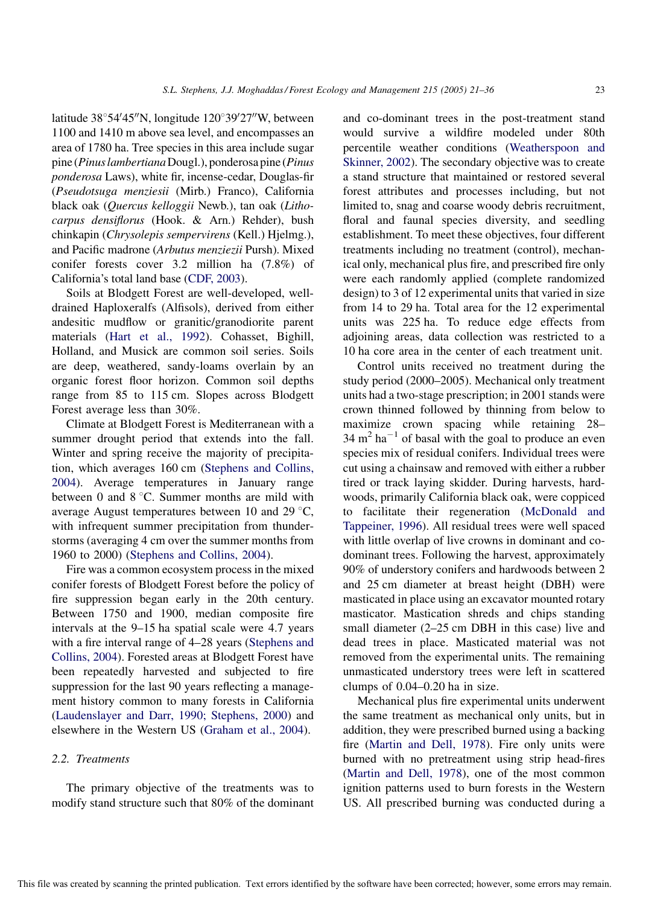latitude  $38^{\circ}54'45''$ N, longitude  $120^{\circ}39'27''$ W, between 1100 and 1410 m above sea level, and encompasses an area of 1780 ha. Tree species in this area include sugar pine (Pinus lambertiana Dougl.), ponderosa pine (Pinus ponderosa Laws), white fir, incense-cedar, Douglas-fir (Pseudotsuga menziesii (Mirb.) Franco), California black oak (Quercus kelloggii Newb.), tan oak (Lithocarpus densiflorus (Hook. & Arn.) Rehder), bush chinkapin (Chrysolepis sempervirens (Kell.) Hjelmg.), and Pacific madrone (Arbutus menziezii Pursh). Mixed conifer forests cover 3.2 million ha (7.8%) of California's total land base [\(CDF, 2003\)](#page-13-0).

Soils at Blodgett Forest are well-developed, welldrained Haploxeralfs (Alfisols), derived from either andesitic mudflow or granitic/granodiorite parent materials ([Hart et al., 1992\)](#page-14-0). Cohasset, Bighill, Holland, and Musick are common soil series. Soils are deep, weathered, sandy-loams overlain by an organic forest floor horizon. Common soil depths range from 85 to 115 cm. Slopes across Blodgett Forest average less than 30%.

Climate at Blodgett Forest is Mediterranean with a summer drought period that extends into the fall. Winter and spring receive the majority of precipitation, which averages 160 cm [\(Stephens and Collins,](#page-15-0) [2004](#page-15-0)). Average temperatures in January range between 0 and  $8^{\circ}$ C. Summer months are mild with average August temperatures between 10 and 29  $\mathrm{^{\circ}C}$ , with infrequent summer precipitation from thunderstorms (averaging 4 cm over the summer months from 1960 to 2000) ([Stephens and Collins, 2004\)](#page-15-0).

Fire was a common ecosystem process in the mixed conifer forests of Blodgett Forest before the policy of fire suppression began early in the 20th century. Between 1750 and 1900, median composite fire intervals at the 9–15 ha spatial scale were 4.7 years with a fire interval range of 4–28 years ([Stephens and](#page-15-0) [Collins, 2004](#page-15-0)). Forested areas at Blodgett Forest have been repeatedly harvested and subjected to fire suppression for the last 90 years reflecting a management history common to many forests in California ([Laudenslayer and Darr, 1990; Stephens, 2000\)](#page-14-0) and elsewhere in the Western US ([Graham et al., 2004](#page-14-0)).

## 2.2. Treatments

The primary objective of the treatments was to modify stand structure such that 80% of the dominant and co-dominant trees in the post-treatment stand would survive a wildfire modeled under 80th percentile weather conditions [\(Weatherspoon and](#page-15-0) [Skinner, 2002](#page-15-0)). The secondary objective was to create a stand structure that maintained or restored several forest attributes and processes including, but not limited to, snag and coarse woody debris recruitment, floral and faunal species diversity, and seedling establishment. To meet these objectives, four different treatments including no treatment (control), mechanical only, mechanical plus fire, and prescribed fire only were each randomly applied (complete randomized design) to 3 of 12 experimental units that varied in size from 14 to 29 ha. Total area for the 12 experimental units was 225 ha. To reduce edge effects from adjoining areas, data collection was restricted to a 10 ha core area in the center of each treatment unit.

Control units received no treatment during the study period (2000–2005). Mechanical only treatment units had a two-stage prescription; in 2001 stands were crown thinned followed by thinning from below to maximize crown spacing while retaining 28–  $34 \text{ m}^2 \text{ ha}^{-1}$  of basal with the goal to produce an even species mix of residual conifers. Individual trees were cut using a chainsaw and removed with either a rubber tired or track laying skidder. During harvests, hardwoods, primarily California black oak, were coppiced to facilitate their regeneration ([McDonald and](#page-14-0) [Tappeiner, 1996\)](#page-14-0). All residual trees were well spaced with little overlap of live crowns in dominant and codominant trees. Following the harvest, approximately 90% of understory conifers and hardwoods between 2 and 25 cm diameter at breast height (DBH) were masticated in place using an excavator mounted rotary masticator. Mastication shreds and chips standing small diameter (2–25 cm DBH in this case) live and dead trees in place. Masticated material was not removed from the experimental units. The remaining unmasticated understory trees were left in scattered clumps of 0.04–0.20 ha in size.

Mechanical plus fire experimental units underwent the same treatment as mechanical only units, but in addition, they were prescribed burned using a backing fire [\(Martin and Dell, 1978\)](#page-14-0). Fire only units were burned with no pretreatment using strip head-fires ([Martin and Dell, 1978\)](#page-14-0), one of the most common ignition patterns used to burn forests in the Western US. All prescribed burning was conducted during a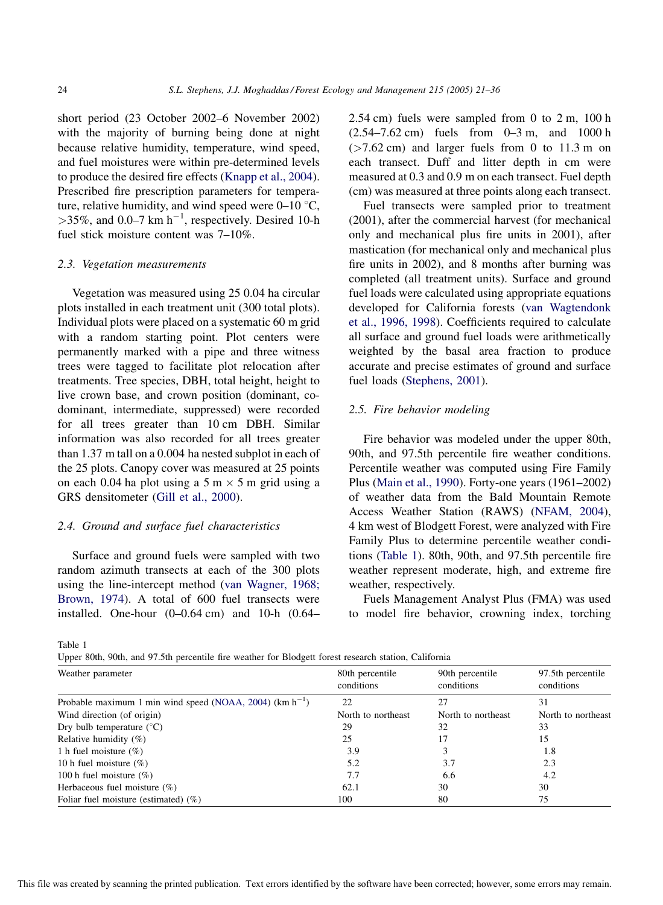short period (23 October 2002–6 November 2002) with the majority of burning being done at night because relative humidity, temperature, wind speed, and fuel moistures were within pre-determined levels to produce the desired fire effects [\(Knapp et al., 2004\)](#page-14-0). Prescribed fire prescription parameters for temperature, relative humidity, and wind speed were  $0-10$  °C,  $>$ 35%, and 0.0–7 km h<sup>-1</sup>, respectively. Desired 10-h fuel stick moisture content was 7–10%.

#### 2.3. Vegetation measurements

Vegetation was measured using 25 0.04 ha circular plots installed in each treatment unit (300 total plots). Individual plots were placed on a systematic 60 m grid with a random starting point. Plot centers were permanently marked with a pipe and three witness trees were tagged to facilitate plot relocation after treatments. Tree species, DBH, total height, height to live crown base, and crown position (dominant, codominant, intermediate, suppressed) were recorded for all trees greater than 10 cm DBH. Similar information was also recorded for all trees greater than 1.37 m tall on a 0.004 ha nested subplot in each of the 25 plots. Canopy cover was measured at 25 points on each 0.04 ha plot using a  $5 \text{ m} \times 5 \text{ m}$  grid using a GRS densitometer ([Gill et al., 2000\)](#page-14-0).

## 2.4. Ground and surface fuel characteristics

Surface and ground fuels were sampled with two random azimuth transects at each of the 300 plots using the line-intercept method [\(van Wagner, 1968;](#page-15-0) [Brown, 1974\)](#page-15-0). A total of 600 fuel transects were installed. One-hour (0–0.64 cm) and 10-h (0.64– 2.54 cm) fuels were sampled from 0 to 2 m, 100 h (2.54–7.62 cm) fuels from 0–3 m, and 1000 h  $($ >7.62 cm) and larger fuels from 0 to 11.3 m on each transect. Duff and litter depth in cm were measured at 0.3 and 0.9 m on each transect. Fuel depth (cm) was measured at three points along each transect.

Fuel transects were sampled prior to treatment (2001), after the commercial harvest (for mechanical only and mechanical plus fire units in 2001), after mastication (for mechanical only and mechanical plus fire units in 2002), and 8 months after burning was completed (all treatment units). Surface and ground fuel loads were calculated using appropriate equations developed for California forests ([van Wagtendonk](#page-15-0) [et al., 1996, 1998\)](#page-15-0). Coefficients required to calculate all surface and ground fuel loads were arithmetically weighted by the basal area fraction to produce accurate and precise estimates of ground and surface fuel loads [\(Stephens, 2001](#page-15-0)).

#### 2.5. Fire behavior modeling

Fire behavior was modeled under the upper 80th, 90th, and 97.5th percentile fire weather conditions. Percentile weather was computed using Fire Family Plus [\(Main et al., 1990](#page-14-0)). Forty-one years (1961–2002) of weather data from the Bald Mountain Remote Access Weather Station (RAWS) [\(NFAM, 2004\)](#page-14-0), 4 km west of Blodgett Forest, were analyzed with Fire Family Plus to determine percentile weather conditions (Table 1). 80th, 90th, and 97.5th percentile fire weather represent moderate, high, and extreme fire weather, respectively.

Fuels Management Analyst Plus (FMA) was used to model fire behavior, crowning index, torching

Table 1

Upper 80th, 90th, and 97.5th percentile fire weather for Blodgett forest research station, California

| Weather parameter                                            | 80th percentile<br>conditions | 90th percentile<br>conditions | 97.5th percentile<br>conditions |  |
|--------------------------------------------------------------|-------------------------------|-------------------------------|---------------------------------|--|
| Probable maximum 1 min wind speed (NOAA, 2004) $(km h^{-1})$ | 22                            | 27                            | 31                              |  |
| Wind direction (of origin)                                   | North to northeast            | North to northeast            | North to northeast              |  |
| Dry bulb temperature $(^{\circ}C)$                           | 29                            | 32                            | 33                              |  |
| Relative humidity $(\%)$                                     | 25                            | 17                            | 15                              |  |
| 1 h fuel moisture $(\%)$                                     | 3.9                           |                               | 1.8                             |  |
| 10 h fuel moisture $(\%)$                                    | 5.2                           | 3.7                           | 2.3                             |  |
| 100 h fuel moisture $(\%)$                                   | 7.7                           | 6.6                           | 4.2                             |  |
| Herbaceous fuel moisture $(\%)$                              | 62.1                          | 30                            | 30                              |  |
| Foliar fuel moisture (estimated) $(\%)$                      | 100                           | 80                            | 75                              |  |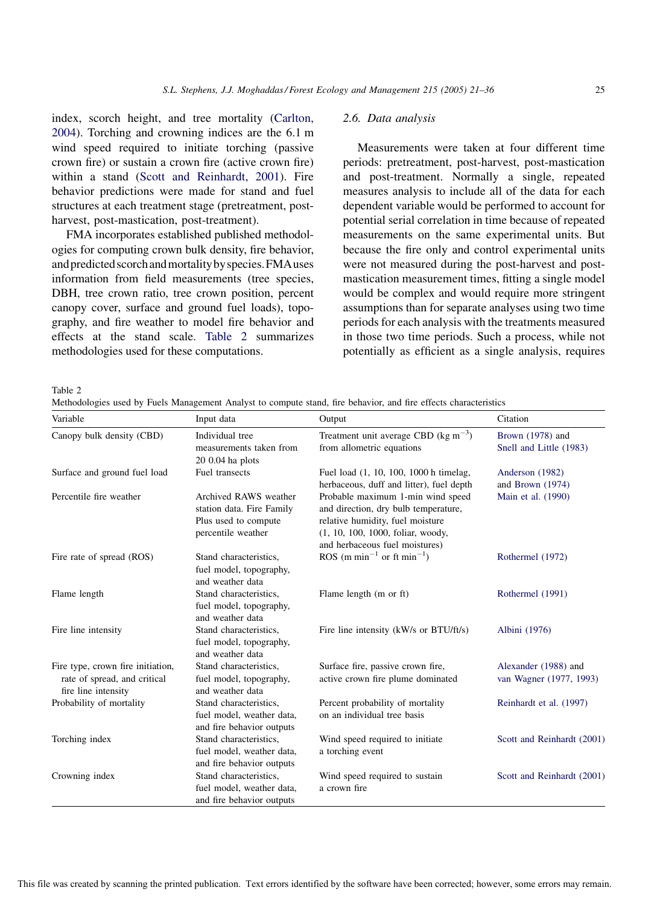index, scorch height, and tree mortality [\(Carlton,](#page-13-0) [2004](#page-13-0)). Torching and crowning indices are the 6.1 m wind speed required to initiate torching (passive crown fire) or sustain a crown fire (active crown fire) within a stand ([Scott and Reinhardt, 2001\)](#page-14-0). Fire behavior predictions were made for stand and fuel structures at each treatment stage (pretreatment, postharvest, post-mastication, post-treatment).

FMA incorporates established published methodologies for computing crown bulk density, fire behavior, and predicted scorch and mortality by species. FMA uses information from field measurements (tree species, DBH, tree crown ratio, tree crown position, percent canopy cover, surface and ground fuel loads), topography, and fire weather to model fire behavior and effects at the stand scale. Table 2 summarizes methodologies used for these computations.

## 2.6. Data analysis

Measurements were taken at four different time periods: pretreatment, post-harvest, post-mastication and post-treatment. Normally a single, repeated measures analysis to include all of the data for each dependent variable would be performed to account for potential serial correlation in time because of repeated measurements on the same experimental units. But because the fire only and control experimental units were not measured during the post-harvest and postmastication measurement times, fitting a single model would be complex and would require more stringent assumptions than for separate analyses using two time periods for each analysis with the treatments measured in those two time periods. Such a process, while not potentially as efficient as a single analysis, requires

Table 2

Methodologies used by Fuels Management Analyst to compute stand, fire behavior, and fire effects characteristics

| Variable                                                                                 | Input data                                                                                       | Output                                                                                                                                                                               | Citation                                        |
|------------------------------------------------------------------------------------------|--------------------------------------------------------------------------------------------------|--------------------------------------------------------------------------------------------------------------------------------------------------------------------------------------|-------------------------------------------------|
| Canopy bulk density (CBD)                                                                | Individual tree<br>measurements taken from                                                       | Treatment unit average CBD ( $\text{kg m}^{-3}$ )<br>from allometric equations                                                                                                       | Brown (1978) and<br>Snell and Little (1983)     |
| Surface and ground fuel load                                                             | $200.04$ ha plots<br>Fuel transects                                                              | Fuel load (1, 10, 100, 1000 h timelag,<br>herbaceous, duff and litter), fuel depth                                                                                                   | Anderson (1982)<br>and Brown $(1974)$           |
| Percentile fire weather                                                                  | Archived RAWS weather<br>station data. Fire Family<br>Plus used to compute<br>percentile weather | Probable maximum 1-min wind speed<br>and direction, dry bulb temperature,<br>relative humidity, fuel moisture<br>(1, 10, 100, 1000, foliar, woody,<br>and herbaceous fuel moistures) | Main et al. (1990)                              |
| Fire rate of spread (ROS)                                                                | Stand characteristics,<br>fuel model, topography,<br>and weather data                            | ROS (m min <sup>-1</sup> or ft min <sup>-1</sup> )                                                                                                                                   | Rothermel (1972)                                |
| Flame length                                                                             | Stand characteristics,<br>fuel model, topography,<br>and weather data                            | Flame length (m or ft)                                                                                                                                                               | Rothermel (1991)                                |
| Fire line intensity                                                                      | Stand characteristics,<br>fuel model, topography,<br>and weather data                            | Fire line intensity (kW/s or BTU/ft/s)                                                                                                                                               | Albini (1976)                                   |
| Fire type, crown fire initiation,<br>rate of spread, and critical<br>fire line intensity | Stand characteristics.<br>fuel model, topography,<br>and weather data                            | Surface fire, passive crown fire,<br>active crown fire plume dominated                                                                                                               | Alexander (1988) and<br>van Wagner (1977, 1993) |
| Probability of mortality                                                                 | Stand characteristics,<br>fuel model, weather data,<br>and fire behavior outputs                 | Percent probability of mortality<br>on an individual tree basis                                                                                                                      | Reinhardt et al. (1997)                         |
| Torching index                                                                           | Stand characteristics,<br>fuel model, weather data,<br>and fire behavior outputs                 | Wind speed required to initiate<br>a torching event                                                                                                                                  | Scott and Reinhardt (2001)                      |
| Crowning index                                                                           | Stand characteristics,<br>fuel model, weather data,<br>and fire behavior outputs                 | Wind speed required to sustain<br>a crown fire                                                                                                                                       | Scott and Reinhardt (2001)                      |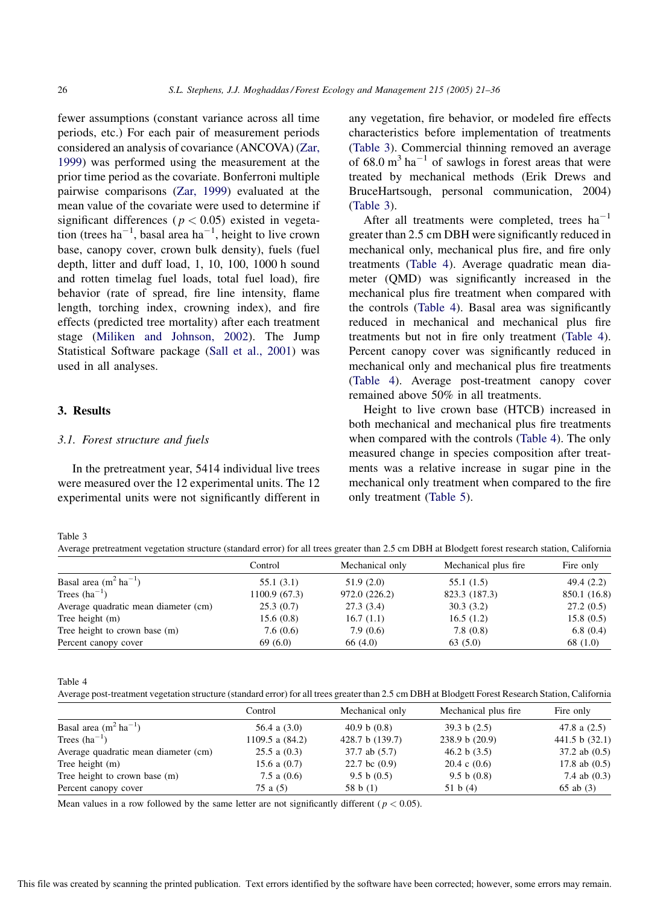<span id="page-5-0"></span>fewer assumptions (constant variance across all time periods, etc.) For each pair of measurement periods considered an analysis of covariance (ANCOVA) ([Zar,](#page-15-0) [1999](#page-15-0)) was performed using the measurement at the prior time period as the covariate. Bonferroni multiple pairwise comparisons [\(Zar, 1999](#page-15-0)) evaluated at the mean value of the covariate were used to determine if significant differences ( $p < 0.05$ ) existed in vegetation (trees  $ha^{-1}$ , basal area  $ha^{-1}$ , height to live crown base, canopy cover, crown bulk density), fuels (fuel depth, litter and duff load, 1, 10, 100, 1000 h sound and rotten timelag fuel loads, total fuel load), fire behavior (rate of spread, fire line intensity, flame length, torching index, crowning index), and fire effects (predicted tree mortality) after each treatment stage [\(Miliken and Johnson, 2002\)](#page-14-0). The Jump Statistical Software package ([Sall et al., 2001\)](#page-14-0) was used in all analyses.

## 3. Results

#### 3.1. Forest structure and fuels

In the pretreatment year, 5414 individual live trees were measured over the 12 experimental units. The 12 experimental units were not significantly different in any vegetation, fire behavior, or modeled fire effects characteristics before implementation of treatments (Table 3). Commercial thinning removed an average of  $68.0 \text{ m}^3 \text{ ha}^{-1}$  of sawlogs in forest areas that were treated by mechanical methods (Erik Drews and BruceHartsough, personal communication, 2004) (Table 3).

After all treatments were completed, trees  $ha^{-1}$ greater than 2.5 cm DBH were significantly reduced in mechanical only, mechanical plus fire, and fire only treatments (Table 4). Average quadratic mean diameter (QMD) was significantly increased in the mechanical plus fire treatment when compared with the controls (Table 4). Basal area was significantly reduced in mechanical and mechanical plus fire treatments but not in fire only treatment (Table 4). Percent canopy cover was significantly reduced in mechanical only and mechanical plus fire treatments (Table 4). Average post-treatment canopy cover remained above 50% in all treatments.

Height to live crown base (HTCB) increased in both mechanical and mechanical plus fire treatments when compared with the controls (Table 4). The only measured change in species composition after treatments was a relative increase in sugar pine in the mechanical only treatment when compared to the fire only treatment [\(Table 5\)](#page-6-0).

Table 3

Average pretreatment vegetation structure (standard error) for all trees greater than 2.5 cm DBH at Blodgett forest research station, California

|                                      | Control       | Mechanical only | Mechanical plus fire | Fire only    |
|--------------------------------------|---------------|-----------------|----------------------|--------------|
| Basal area $(m^2 \text{ ha}^{-1})$   | 55.1(3.1)     | 51.9(2.0)       | 55.1 (1.5)           | 49.4(2.2)    |
| Trees $(ha^{-1})$                    | 1100.9 (67.3) | 972.0 (226.2)   | 823.3 (187.3)        | 850.1 (16.8) |
| Average quadratic mean diameter (cm) | 25.3(0.7)     | 27.3(3.4)       | 30.3(3.2)            | 27.2(0.5)    |
| Tree height $(m)$                    | 15.6(0.8)     | 16.7(1.1)       | 16.5(1.2)            | 15.8(0.5)    |
| Tree height to crown base (m)        | 7.6(0.6)      | 7.9(0.6)        | 7.8(0.8)             | 6.8(0.4)     |
| Percent canopy cover                 | 69(6.0)       | 66 (4.0)        | 63(5.0)              | 68 (1.0)     |

Table 4

Average post-treatment vegetation structure (standard error) for all trees greater than 2.5 cm DBH at Blodgett Forest Research Station, California

|                                      | Control          | Mechanical only | Mechanical plus fire    | Fire only         |
|--------------------------------------|------------------|-----------------|-------------------------|-------------------|
| Basal area $(m^2 \text{ ha}^{-1})$   | 56.4 a $(3.0)$   | 40.9 b $(0.8)$  | 39.3 b $(2.5)$          | 47.8 a $(2.5)$    |
| Trees $(ha^{-1})$                    | 1109.5 a (84.2)  | 428.7 b (139.7) | 238.9 b (20.9)          | 441.5 b $(32.1)$  |
| Average quadratic mean diameter (cm) | $25.5$ a $(0.3)$ | 37.7 ab (5.7)   | 46.2 b $(3.5)$          | $37.2$ ab $(0.5)$ |
| Tree height $(m)$                    | 15.6 a $(0.7)$   | 22.7 bc $(0.9)$ | $20.4 \text{ c } (0.6)$ | 17.8 ab $(0.5)$   |
| Tree height to crown base (m)        | 7.5 a $(0.6)$    | 9.5 b $(0.5)$   | 9.5 b (0.8)             | 7.4 ab $(0.3)$    |
| Percent canopy cover                 | 75 a (5)         | 58 b $(1)$      | 51 b $(4)$              | $65$ ab $(3)$     |

Mean values in a row followed by the same letter are not significantly different ( $p < 0.05$ ).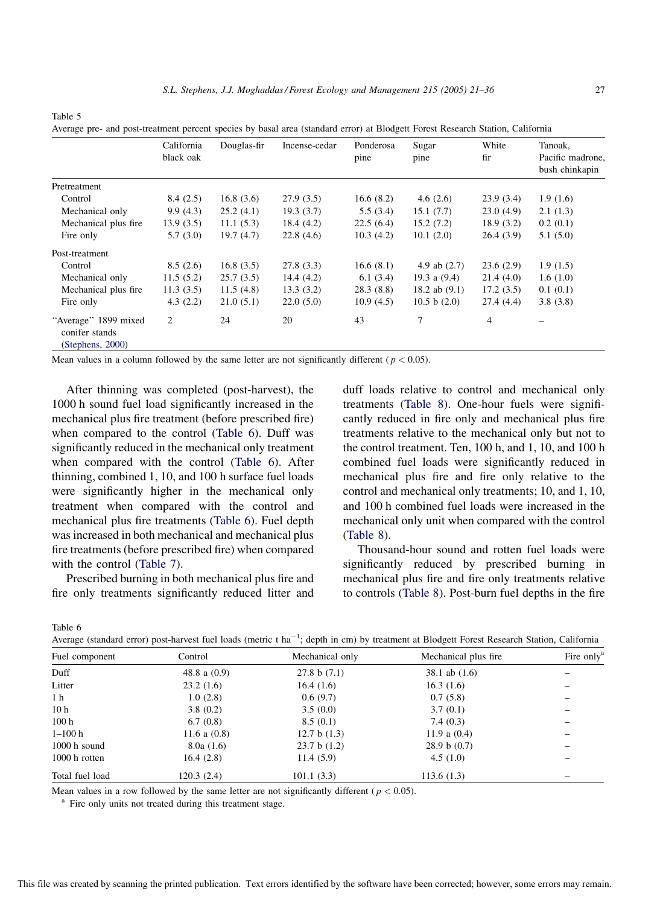<span id="page-6-0"></span>Table 5

Average pre- and post-treatment percent species by basal area (standard error) at Blodgett Forest Research Station, California

|                                                            | California<br>black oak | Douglas-fir | Incense-cedar | Ponderosa<br>pine | Sugar<br>pine   | White<br>fir | Tanoak,<br>Pacific madrone,<br>bush chinkapin |
|------------------------------------------------------------|-------------------------|-------------|---------------|-------------------|-----------------|--------------|-----------------------------------------------|
| Pretreatment                                               |                         |             |               |                   |                 |              |                                               |
| Control                                                    | 8.4(2.5)                | 16.8(3.6)   | 27.9(3.5)     | 16.6(8.2)         | 4.6 $(2.6)$     | 23.9(3.4)    | 1.9(1.6)                                      |
| Mechanical only                                            | 9.9(4.3)                | 25.2(4.1)   | 19.3(3.7)     | 5.5(3.4)          | 15.1(7.7)       | 23.0(4.9)    | 2.1(1.3)                                      |
| Mechanical plus fire                                       | 13.9(3.5)               | 11.1(5.3)   | 18.4 (4.2)    | 22.5(6.4)         | 15.2(7.2)       | 18.9(3.2)    | 0.2(0.1)                                      |
| Fire only                                                  | 5.7(3.0)                | 19.7(4.7)   | 22.8(4.6)     | 10.3(4.2)         | 10.1(2.0)       | 26.4(3.9)    | 5.1(5.0)                                      |
| Post-treatment                                             |                         |             |               |                   |                 |              |                                               |
| Control                                                    | 8.5(2.6)                | 16.8(3.5)   | 27.8(3.3)     | 16.6(8.1)         | 4.9 ab $(2.7)$  | 23.6(2.9)    | 1.9(1.5)                                      |
| Mechanical only                                            | 11.5(5.2)               | 25.7(3.5)   | 14.4(4.2)     | 6.1(3.4)          | 19.3 a $(9.4)$  | 21.4(4.0)    | 1.6(1.0)                                      |
| Mechanical plus fire                                       | 11.3(3.5)               | 11.5(4.8)   | 13.3(3.2)     | 28.3(8.8)         | 18.2 ab $(9.1)$ | 17.2(3.5)    | 0.1(0.1)                                      |
| Fire only                                                  | 4.3(2.2)                | 21.0(5.1)   | 22.0(5.0)     | 10.9(4.5)         | 10.5 b $(2.0)$  | 27.4(4.4)    | 3.8(3.8)                                      |
| "Average" 1899 mixed<br>conifer stands<br>(Stephens, 2000) | 2                       | 24          | 20            | 43                | 7               | 4            |                                               |

Mean values in a column followed by the same letter are not significantly different ( $p < 0.05$ ).

After thinning was completed (post-harvest), the 1000 h sound fuel load significantly increased in the mechanical plus fire treatment (before prescribed fire) when compared to the control (Table 6). Duff was significantly reduced in the mechanical only treatment when compared with the control (Table 6). After thinning, combined 1, 10, and 100 h surface fuel loads were significantly higher in the mechanical only treatment when compared with the control and mechanical plus fire treatments (Table 6). Fuel depth was increased in both mechanical and mechanical plus fire treatments (before prescribed fire) when compared with the control [\(Table 7\)](#page-7-0).

Prescribed burning in both mechanical plus fire and fire only treatments significantly reduced litter and

duff loads relative to control and mechanical only treatments [\(Table 8](#page-7-0)). One-hour fuels were significantly reduced in fire only and mechanical plus fire treatments relative to the mechanical only but not to the control treatment. Ten, 100 h, and 1, 10, and 100 h combined fuel loads were significantly reduced in mechanical plus fire and fire only relative to the control and mechanical only treatments; 10, and 1, 10, and 100 h combined fuel loads were increased in the mechanical only unit when compared with the control ([Table 8](#page-7-0)).

Thousand-hour sound and rotten fuel loads were significantly reduced by prescribed burning in mechanical plus fire and fire only treatments relative to controls ([Table 8\)](#page-7-0). Post-burn fuel depths in the fire

Table 6

|  | Average (standard error) post-harvest fuel loads (metric t ha <sup>-1</sup> ; depth in cm) by treatment at Blodgett Forest Research Station, California |
|--|---------------------------------------------------------------------------------------------------------------------------------------------------------|
|--|---------------------------------------------------------------------------------------------------------------------------------------------------------|

1

| Fuel component   | Control        | Mechanical only | Mechanical plus fire. | Fire only <sup>a</sup> |  |
|------------------|----------------|-----------------|-----------------------|------------------------|--|
| Duff             | 48.8 a $(0.9)$ | 27.8 b (7.1)    | 38.1 ab (1.6)         |                        |  |
| Litter           | 23.2(1.6)      | 16.4(1.6)       | 16.3(1.6)             |                        |  |
| 1 h              | 1.0(2.8)       | 0.6(9.7)        | 0.7(5.8)              |                        |  |
| 10 <sub>h</sub>  | 3.8(0.2)       | 3.5(0.0)        | 3.7(0.1)              |                        |  |
| 100 <sub>h</sub> | 6.7(0.8)       | 8.5(0.1)        | 7.4(0.3)              |                        |  |
| $1 - 100h$       | 11.6 a $(0.8)$ | 12.7 b $(1.3)$  | 11.9 a $(0.4)$        |                        |  |
| $1000$ h sound   | 8.0a(1.6)      | 23.7 b(1.2)     | 28.9 b (0.7)          |                        |  |
| 1000 h rotten    | 16.4(2.8)      | 11.4(5.9)       | 4.5(1.0)              |                        |  |
| Total fuel load  | 120.3(2.4)     | 101.1(3.3)      | 113.6(1.3)            |                        |  |

Mean values in a row followed by the same letter are not significantly different ( $p < 0.05$ ).

<sup>a</sup> Fire only units not treated during this treatment stage.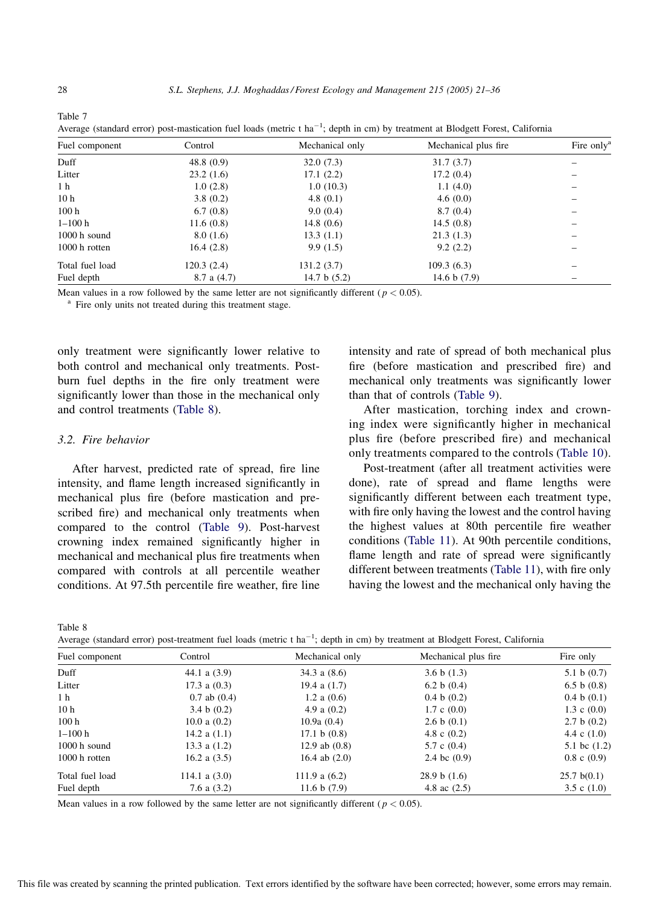| Fuel component   | Control         | Mechanical only | Mechanical plus fire | Fire only <sup>a</sup> |
|------------------|-----------------|-----------------|----------------------|------------------------|
| Duff             | 48.8(0.9)       | 32.0(7.3)       | 31.7(3.7)            |                        |
| Litter           | 23.2(1.6)       | 17.1(2.2)       | 17.2(0.4)            |                        |
| 1 <sub>h</sub>   | 1.0(2.8)        | 1.0(10.3)       | 1.1(4.0)             |                        |
| 10 <sub>h</sub>  | 3.8(0.2)        | 4.8 $(0.1)$     | 4.6(0.0)             |                        |
| 100 <sub>h</sub> | 6.7(0.8)        | 9.0(0.4)        | 8.7(0.4)             |                        |
| $1 - 100h$       | 11.6(0.8)       | 14.8(0.6)       | 14.5(0.8)            |                        |
| $1000$ h sound   | 8.0(1.6)        | 13.3(1.1)       | 21.3(1.3)            |                        |
| 1000 h rotten    | 16.4(2.8)       | 9.9(1.5)        | 9.2(2.2)             |                        |
| Total fuel load  | 120.3(2.4)      | 131.2(3.7)      | 109.3(6.3)           |                        |
| Fuel depth       | $8.7$ a $(4.7)$ | 14.7 b $(5.2)$  | 14.6 b $(7.9)$       |                        |

|  |  |  | Average (standard error) post-mastication fuel loads (metric t ha <sup>-1</sup> ; depth in cm) by treatment at Blodgett Forest, California |  |  |  |  |  |  |  |  |
|--|--|--|--------------------------------------------------------------------------------------------------------------------------------------------|--|--|--|--|--|--|--|--|
|--|--|--|--------------------------------------------------------------------------------------------------------------------------------------------|--|--|--|--|--|--|--|--|

Mean values in a row followed by the same letter are not significantly different ( $p < 0.05$ ).

<sup>a</sup> Fire only units not treated during this treatment stage.

only treatment were significantly lower relative to both control and mechanical only treatments. Postburn fuel depths in the fire only treatment were significantly lower than those in the mechanical only and control treatments (Table 8).

# 3.2. Fire behavior

After harvest, predicted rate of spread, fire line intensity, and flame length increased significantly in mechanical plus fire (before mastication and prescribed fire) and mechanical only treatments when compared to the control ([Table 9\)](#page-8-0). Post-harvest crowning index remained significantly higher in mechanical and mechanical plus fire treatments when compared with controls at all percentile weather conditions. At 97.5th percentile fire weather, fire line intensity and rate of spread of both mechanical plus fire (before mastication and prescribed fire) and mechanical only treatments was significantly lower than that of controls [\(Table 9](#page-8-0)).

After mastication, torching index and crowning index were significantly higher in mechanical plus fire (before prescribed fire) and mechanical only treatments compared to the controls [\(Table 10\)](#page-8-0).

Post-treatment (after all treatment activities were done), rate of spread and flame lengths were significantly different between each treatment type, with fire only having the lowest and the control having the highest values at 80th percentile fire weather conditions ([Table 11\)](#page-9-0). At 90th percentile conditions, flame length and rate of spread were significantly different between treatments ([Table 11](#page-9-0)), with fire only having the lowest and the mechanical only having the

Table 8

| Average (standard error) post-treatment fuel loads (metric t ha <sup>-1</sup> ; depth in cm) by treatment at Blodgett Forest, California |  |
|------------------------------------------------------------------------------------------------------------------------------------------|--|
|------------------------------------------------------------------------------------------------------------------------------------------|--|

1

| Fuel component  | Control          | Mechanical only | Mechanical plus fire   | Fire only        |
|-----------------|------------------|-----------------|------------------------|------------------|
| Duff            | 44.1 a $(3.9)$   | 34.3 a $(8.6)$  | 3.6 b $(1.3)$          | 5.1 b $(0.7)$    |
| Litter          | $17.3$ a $(0.3)$ | 19.4 a $(1.7)$  | 6.2 b $(0.4)$          | 6.5 b $(0.8)$    |
| 1 <sub>h</sub>  | $0.7$ ab $(0.4)$ | 1.2 a $(0.6)$   | 0.4 b(0.2)             | 0.4 b(0.1)       |
| 10 <sub>h</sub> | 3.4 b $(0.2)$    | 4.9 a $(0.2)$   | $1.7 \text{ c } (0.0)$ | 1.3 c $(0.0)$    |
| 100h            | 10.0 a $(0.2)$   | 10.9a(0.4)      | 2.6 b $(0.1)$          | 2.7 b (0.2)      |
| $1 - 100h$      | 14.2 a $(1.1)$   | 17.1 b(0.8)     | 4.8 c $(0.2)$          | 4.4 c $(1.0)$    |
| $1000h$ sound   | 13.3 a $(1.2)$   | 12.9 ab $(0.8)$ | 5.7 c $(0.4)$          | 5.1 bc $(1.2)$   |
| $1000 h$ rotten | 16.2 a $(3.5)$   | 16.4 ab $(2.0)$ | 2.4 bc $(0.9)$         | $0.8 \cosh(0.9)$ |
| Total fuel load | 114.1 a $(3.0)$  | 111.9 a $(6.2)$ | 28.9 b(1.6)            | 25.7 b(0.1)      |
| Fuel depth      | 7.6 a $(3.2)$    | 11.6 b $(7.9)$  | 4.8 ac $(2.5)$         | 3.5 c $(1.0)$    |

Mean values in a row followed by the same letter are not significantly different ( $p < 0.05$ ).

<span id="page-7-0"></span>Table 7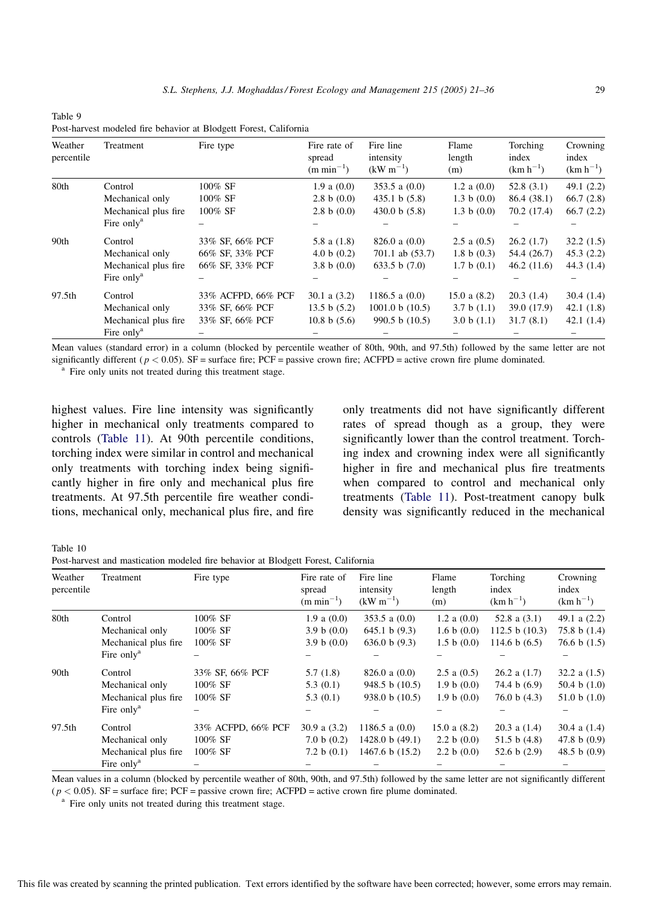<span id="page-8-0"></span>Table 0 Post-harvest modeled fire behavior at Blodgett Forest, California

| Weather<br>percentile | Treatment              | Fire type          | Fire rate of<br>spread<br>$(m \text{ min}^{-1})$ | Fire line<br>intensity<br>$(kW m^{-1})$ | Flame<br>length<br>(m) | Torching<br>index<br>$(km h^{-1})$ | Crowning<br>index<br>$(km h^{-1})$ |
|-----------------------|------------------------|--------------------|--------------------------------------------------|-----------------------------------------|------------------------|------------------------------------|------------------------------------|
| 80th                  | Control                | 100% SF            | 1.9 a (0.0)                                      | 353.5 a $(0.0)$                         | 1.2 a $(0.0)$          | 52.8(3.1)                          | 49.1(2.2)                          |
|                       | Mechanical only        | 100% SF            | 2.8 b (0.0)                                      | 435.1 b(5.8)                            | 1.3 b $(0.0)$          | 86.4 (38.1)                        | 66.7(2.8)                          |
|                       | Mechanical plus fire   | 100% SF            | 2.8 b (0.0)                                      | 430.0 b(5.8)                            | 1.3 b (0.0)            | 70.2 (17.4)                        | 66.7(2.2)                          |
|                       | Fire only <sup>a</sup> |                    |                                                  |                                         |                        |                                    |                                    |
| 90th                  | Control                | 33% SF, 66% PCF    | 5.8 a $(1.8)$                                    | $826.0$ a $(0.0)$                       | $2.5$ a $(0.5)$        | 26.2(1.7)                          | 32.2(1.5)                          |
|                       | Mechanical only        | 66% SF, 33% PCF    | 4.0 b $(0.2)$                                    | $701.1$ ab $(53.7)$                     | 1.8 b $(0.3)$          | 54.4 (26.7)                        | 45.3(2.2)                          |
|                       | Mechanical plus fire   | 66% SF, 33% PCF    | 3.8 b $(0.0)$                                    | 633.5 b $(7.0)$                         | 1.7 b(0.1)             | 46.2(11.6)                         | 44.3(1.4)                          |
|                       | Fire only <sup>a</sup> |                    |                                                  |                                         |                        |                                    |                                    |
| 97.5th                | Control                | 33% ACFPD, 66% PCF | 30.1 a $(3.2)$                                   | 1186.5 a $(0.0)$                        | 15.0 a (8.2)           | 20.3(1.4)                          | 30.4(1.4)                          |
|                       | Mechanical only        | 33% SF, 66% PCF    | 13.5 b $(5.2)$                                   | 1001.0 b(10.5)                          | 3.7 b(1.1)             | 39.0 (17.9)                        | 42.1(1.8)                          |
|                       | Mechanical plus fire   | 33% SF, 66% PCF    | 10.8 b $(5.6)$                                   | 990.5 b $(10.5)$                        | 3.0 b(1.1)             | 31.7(8.1)                          | 42.1(1.4)                          |
|                       | Fire only <sup>a</sup> |                    |                                                  |                                         |                        |                                    |                                    |

Mean values (standard error) in a column (blocked by percentile weather of 80th, 90th, and 97.5th) followed by the same letter are not significantly different ( $p < 0.05$ ). SF = surface fire; PCF = passive crown fire; ACFPD = active crown fire plume dominated. <sup>a</sup> Fire only units not treated during this treatment stage.

highest values. Fire line intensity was significantly higher in mechanical only treatments compared to controls [\(Table 11](#page-9-0)). At 90th percentile conditions, torching index were similar in control and mechanical only treatments with torching index being significantly higher in fire only and mechanical plus fire treatments. At 97.5th percentile fire weather conditions, mechanical only, mechanical plus fire, and fire only treatments did not have significantly different rates of spread though as a group, they were significantly lower than the control treatment. Torching index and crowning index were all significantly higher in fire and mechanical plus fire treatments when compared to control and mechanical only treatments [\(Table 11\)](#page-9-0). Post-treatment canopy bulk density was significantly reduced in the mechanical

Table 10

Post-harvest and mastication modeled fire behavior at Blodgett Forest, California

| Weather<br>percentile | Treatment              | Fire type          | Fire rate of<br>spread<br>$(m \text{ min}^{-1})$ | Fire line<br>intensity<br>$(kW m^{-1})$ | Flame<br>length<br>(m) | Torching<br>index<br>$(km h^{-1})$ | Crowning<br>index<br>$(km h^{-1})$ |
|-----------------------|------------------------|--------------------|--------------------------------------------------|-----------------------------------------|------------------------|------------------------------------|------------------------------------|
| 80th                  | Control                | 100% SF            | 1.9 a (0.0)                                      | 353.5 a $(0.0)$                         | 1.2 a (0.0)            | 52.8 a $(3.1)$                     | 49.1 a $(2.2)$                     |
|                       | Mechanical only        | 100% SF            | 3.9 b $(0.0)$                                    | 645.1 b(9.3)                            | 1.6 b $(0.0)$          | 112.5 b $(10.3)$                   | 75.8 b $(1.4)$                     |
|                       | Mechanical plus fire   | 100% SF            | 3.9 b (0.0)                                      | 636.0 b (9.3)                           | 1.5 b(0.0)             | 114.6 b $(6.5)$                    | 76.6 b $(1.5)$                     |
|                       | Fire only <sup>a</sup> |                    |                                                  |                                         |                        |                                    |                                    |
| 90th                  | Control                | 33% SF, 66% PCF    | 5.7(1.8)                                         | $826.0$ a $(0.0)$                       | $2.5$ a $(0.5)$        | $26.2$ a $(1.7)$                   | 32.2 a $(1.5)$                     |
|                       | Mechanical only        | 100% SF            | 5.3(0.1)                                         | 948.5 b(10.5)                           | 1.9 b (0.0)            | 74.4 b $(6.9)$                     | 50.4 b $(1.0)$                     |
|                       | Mechanical plus fire   | 100% SF            | 5.3(0.1)                                         | 938.0 b $(10.5)$                        | 1.9 b (0.0)            | 76.0 b(4.3)                        | 51.0 b $(1.0)$                     |
|                       | Fire only <sup>a</sup> |                    |                                                  |                                         |                        |                                    |                                    |
| 97.5th                | Control                | 33% ACFPD, 66% PCF | 30.9 a $(3.2)$                                   | 1186.5 a $(0.0)$                        | 15.0 a $(8.2)$         | $20.3$ a $(1.4)$                   | 30.4 a $(1.4)$                     |
|                       | Mechanical only        | 100% SF            | 7.0 b (0.2)                                      | 1428.0 b(49.1)                          | 2.2 b $(0.0)$          | 51.5 b $(4.8)$                     | 47.8 b $(0.9)$                     |
|                       | Mechanical plus fire   | 100% SF            | 7.2 b $(0.1)$                                    | 1467.6 b $(15.2)$                       | 2.2 b $(0.0)$          | 52.6 b $(2.9)$                     | 48.5 b $(0.9)$                     |
|                       | Fire only <sup>a</sup> |                    |                                                  |                                         |                        |                                    |                                    |

Mean values in a column (blocked by percentile weather of 80th, 90th, and 97.5th) followed by the same letter are not significantly different  $(p < 0.05)$ . SF = surface fire; PCF = passive crown fire; ACFPD = active crown fire plume dominated.  $a$  Fire only units not treated during this treatment stage.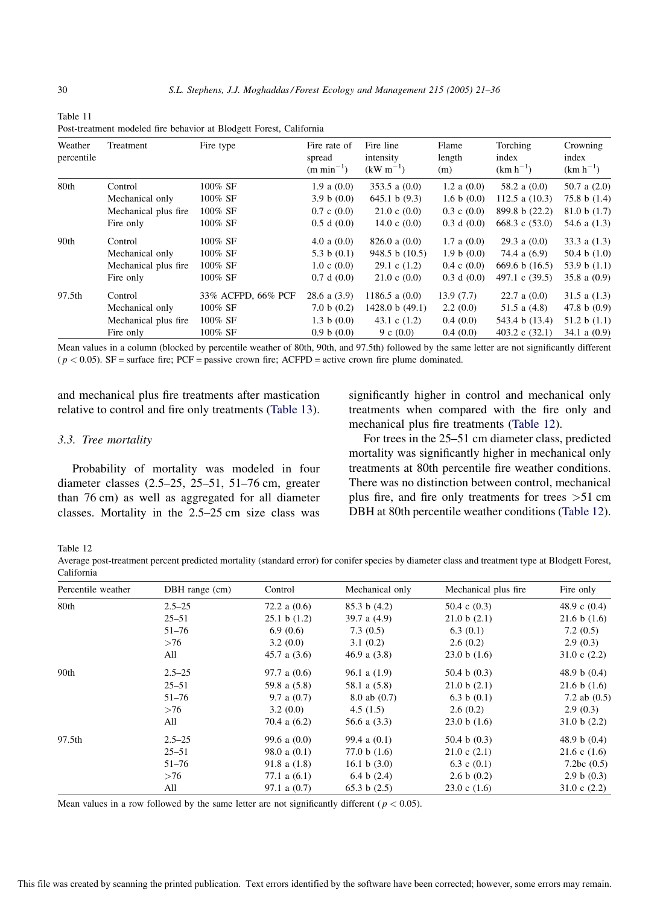<span id="page-9-0"></span>

| Table 11                                                            |  |  |
|---------------------------------------------------------------------|--|--|
| Post-treatment modeled fire behavior at Blodgett Forest, California |  |  |

| Weather<br>percentile | Treatment            | Fire type          | Fire rate of<br>spread<br>$(m \text{ min}^{-1})$ | Fire line<br>intensity<br>$(kW m^{-1})$ | Flame<br>length<br>(m) | Torching<br>index<br>$(km h^{-1})$ | Crowning<br>index<br>$(km h^{-1})$ |
|-----------------------|----------------------|--------------------|--------------------------------------------------|-----------------------------------------|------------------------|------------------------------------|------------------------------------|
| 80th                  | Control              | 100% SF            | 1.9 a (0.0)                                      | 353.5 a $(0.0)$                         | 1.2 a $(0.0)$          | 58.2 a $(0.0)$                     | 50.7 a $(2.0)$                     |
|                       | Mechanical only      | 100% SF            | 3.9 b $(0.0)$                                    | 645.1 b(9.3)                            | 1.6 b(0.0)             | 112.5 a $(10.3)$                   | 75.8 b $(1.4)$                     |
|                       | Mechanical plus fire | 100% SF            | $0.7 \text{ c } (0.0)$                           | $21.0 \text{ c } (0.0)$                 | $0.3 \cosh (0.0)$      | 899.8 b (22.2)                     | 81.0 b(1.7)                        |
|                       | Fire only            | 100% SF            | 0.5 d(0.0)                                       | 14.0 c $(0.0)$                          | 0.3 d(0.0)             | 668.3 c $(53.0)$                   | 54.6 a $(1.3)$                     |
| 90th                  | Control              | 100% SF            | 4.0 a $(0.0)$                                    | $826.0$ a $(0.0)$                       | $1.7$ a $(0.0)$        | $29.3$ a $(0.0)$                   | 33.3 a $(1.3)$                     |
|                       | Mechanical only      | 100% SF            | 5.3 b $(0.1)$                                    | 948.5 b (10.5)                          | 1.9 b (0.0)            | 74.4 a (6.9)                       | 50.4 b $(1.0)$                     |
|                       | Mechanical plus fire | 100% SF            | $1.0 \text{ c } (0.0)$                           | $29.1 \text{ c } (1.2)$                 | $0.4 \c(0.0)$          | 669.6 b $(16.5)$                   | 53.9 b $(1.1)$                     |
|                       | Fire only            | 100% SF            | 0.7 d(0.0)                                       | $21.0 \text{ c } (0.0)$                 | 0.3 d(0.0)             | 497.1 c (39.5)                     | 35.8 a $(0.9)$                     |
| 97.5th                | Control              | 33% ACFPD, 66% PCF | $28.6$ a $(3.9)$                                 | 1186.5 a $(0.0)$                        | 13.9(7.7)              | $22.7$ a $(0.0)$                   | 31.5 a $(1.3)$                     |
|                       | Mechanical only      | 100% SF            | 7.0 b (0.2)                                      | 1428.0 b (49.1)                         | 2.2(0.0)               | 51.5 a $(4.8)$                     | 47.8 b $(0.9)$                     |
|                       | Mechanical plus fire | 100% SF            | 1.3 b $(0.0)$                                    | 43.1 c $(1.2)$                          | 0.4(0.0)               | 543.4 b (13.4)                     | 51.2 b $(1.1)$                     |
|                       | Fire only            | 100% SF            | 0.9 b(0.0)                                       | 9 c $(0.0)$                             | 0.4(0.0)               | 403.2 c $(32.1)$                   | 34.1 a $(0.9)$                     |

Mean values in a column (blocked by percentile weather of 80th, 90th, and 97.5th) followed by the same letter are not significantly different  $(p < 0.05)$ . SF = surface fire; PCF = passive crown fire; ACFPD = active crown fire plume dominated.

and mechanical plus fire treatments after mastication relative to control and fire only treatments [\(Table 13\)](#page-10-0).

## 3.3. Tree mortality

Probability of mortality was modeled in four diameter classes (2.5–25, 25–51, 51–76 cm, greater than 76 cm) as well as aggregated for all diameter classes. Mortality in the 2.5–25 cm size class was significantly higher in control and mechanical only treatments when compared with the fire only and mechanical plus fire treatments (Table 12).

For trees in the 25–51 cm diameter class, predicted mortality was significantly higher in mechanical only treatments at 80th percentile fire weather conditions. There was no distinction between control, mechanical plus fire, and fire only treatments for trees >51 cm DBH at 80th percentile weather conditions (Table 12).

Table 12

Average post-treatment percent predicted mortality (standard error) for conifer species by diameter class and treatment type at Blodgett Forest, California

| Percentile weather | $DBH$ range $(cm)$ | Control          | Mechanical only  | Mechanical plus fire    | Fire only      |
|--------------------|--------------------|------------------|------------------|-------------------------|----------------|
| 80th               | $2.5 - 25$         | 72.2 a $(0.6)$   | 85.3 b(4.2)      | 50.4 c $(0.3)$          | 48.9 c $(0.4)$ |
|                    | $25 - 51$          | 25.1 b(1.2)      | 39.7 a $(4.9)$   | 21.0 b (2.1)            | 21.6 b (1.6)   |
|                    | $51 - 76$          | 6.9(0.6)         | 7.3(0.5)         | 6.3(0.1)                | 7.2(0.5)       |
|                    | >76                | 3.2(0.0)         | 3.1(0.2)         | 2.6(0.2)                | 2.9(0.3)       |
|                    | All                | 45.7 a $(3.6)$   | 46.9 a $(3.8)$   | 23.0 b(1.6)             | 31.0 c $(2.2)$ |
| 90th               | $2.5 - 25$         | 97.7 a $(0.6)$   | $96.1$ a $(1.9)$ | 50.4 b $(0.3)$          | 48.9 b $(0.4)$ |
|                    | $25 - 51$          | 59.8 a (5.8)     | 58.1 a (5.8)     | 21.0 b (2.1)            | 21.6 b (1.6)   |
|                    | $51 - 76$          | 9.7 a $(0.7)$    | $8.0$ ab $(0.7)$ | 6.3 b $(0.1)$           | 7.2 ab $(0.5)$ |
|                    | >76                | 3.2(0.0)         | 4.5(1.5)         | 2.6(0.2)                | 2.9(0.3)       |
|                    | All                | 70.4 a (6.2)     | 56.6 a $(3.3)$   | 23.0 b(1.6)             | 31.0 b(2.2)    |
| 97.5th             | $2.5 - 25$         | 99.6 a $(0.0)$   | 99.4 a $(0.1)$   | 50.4 b $(0.3)$          | 48.9 b $(0.4)$ |
|                    | $25 - 51$          | 98.0 a $(0.1)$   | 77.0 b $(1.6)$   | $21.0 \text{ c } (2.1)$ | 21.6 c $(1.6)$ |
|                    | $51 - 76$          | 91.8 a $(1.8)$   | 16.1 b $(3.0)$   | 6.3 c $(0.1)$           | 7.2bc $(0.5)$  |
|                    | >76                | 77.1 a $(6.1)$   | 6.4 b $(2.4)$    | 2.6 b (0.2)             | 2.9 b (0.3)    |
|                    | All                | $97.1$ a $(0.7)$ | 65.3 b $(2.5)$   | $23.0 \text{ c } (1.6)$ | 31.0 c $(2.2)$ |

Mean values in a row followed by the same letter are not significantly different ( $p < 0.05$ ).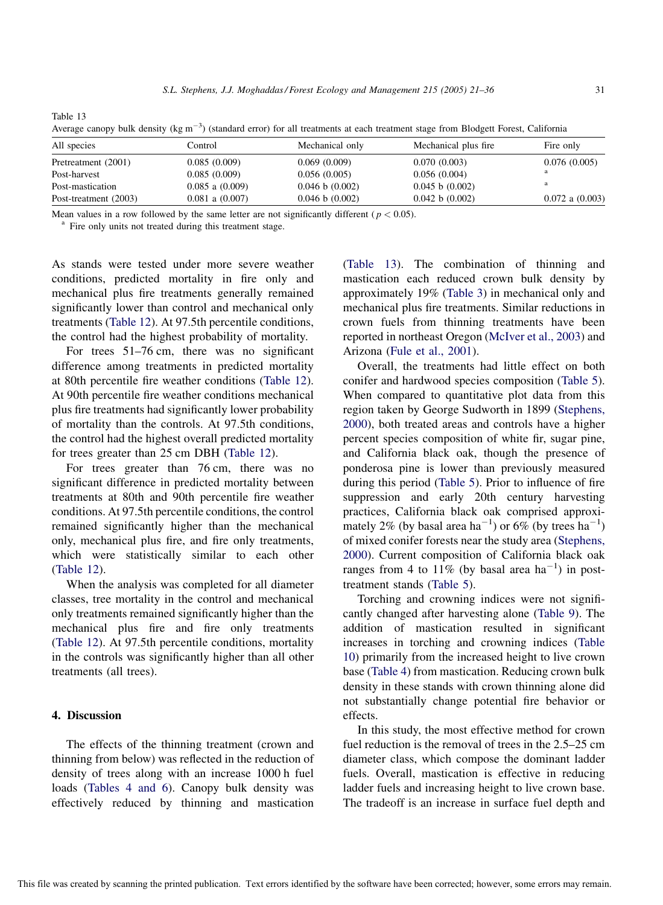All species **Control** Control Mechanical only Mechanical plus fire Fire only Pretreatment (2001) 0.085 (0.009) 0.069 (0.009) 0.070 (0.003) 0.076 (0.005) Post-harvest 0.085 (0.009) 0.056 (0.005) 0.056 (0.004) <sup>a</sup> Post-mastication 0.085 a (0.009) 0.046 b (0.002) 0.045 b (0.002) and 0.045 b (0.002) Post-treatment (2003) 0.081 a (0.007) 0.046 b (0.002) 0.042 b (0.002) 0.072 a (0.003)

Average canopy bulk density ( $\text{kg m}^{-3}$ ) (standard error) for all treatments at each treatment stage from Blodgett Forest, California

Mean values in a row followed by the same letter are not significantly different ( $p < 0.05$ ).<br><sup>a</sup> Fire only units not treated during this treatment stage.

<span id="page-10-0"></span>Table 13

As stands were tested under more severe weather conditions, predicted mortality in fire only and mechanical plus fire treatments generally remained significantly lower than control and mechanical only treatments ([Table 12](#page-9-0)). At 97.5th percentile conditions, the control had the highest probability of mortality.

For trees 51–76 cm, there was no significant difference among treatments in predicted mortality at 80th percentile fire weather conditions ([Table 12\)](#page-9-0). At 90th percentile fire weather conditions mechanical plus fire treatments had significantly lower probability of mortality than the controls. At 97.5th conditions, the control had the highest overall predicted mortality for trees greater than 25 cm DBH [\(Table 12\)](#page-9-0).

For trees greater than 76 cm, there was no significant difference in predicted mortality between treatments at 80th and 90th percentile fire weather conditions. At 97.5th percentile conditions, the control remained significantly higher than the mechanical only, mechanical plus fire, and fire only treatments, which were statistically similar to each other ([Table 12](#page-9-0)).

When the analysis was completed for all diameter classes, tree mortality in the control and mechanical only treatments remained significantly higher than the mechanical plus fire and fire only treatments ([Table 12\)](#page-9-0). At 97.5th percentile conditions, mortality in the controls was significantly higher than all other treatments (all trees).

## 4. Discussion

The effects of the thinning treatment (crown and thinning from below) was reflected in the reduction of density of trees along with an increase 1000 h fuel loads [\(Tables 4 and 6](#page-5-0)). Canopy bulk density was effectively reduced by thinning and mastication

(Table 13). The combination of thinning and mastication each reduced crown bulk density by approximately 19% ([Table 3\)](#page-5-0) in mechanical only and mechanical plus fire treatments. Similar reductions in crown fuels from thinning treatments have been reported in northeast Oregon [\(McIver et al., 2003\)](#page-14-0) and Arizona [\(Fule et al., 2001\)](#page-13-0).

Overall, the treatments had little effect on both conifer and hardwood species composition ([Table 5](#page-6-0)). When compared to quantitative plot data from this region taken by George Sudworth in 1899 [\(Stephens,](#page-15-0) [2000\)](#page-15-0), both treated areas and controls have a higher percent species composition of white fir, sugar pine, and California black oak, though the presence of ponderosa pine is lower than previously measured during this period ([Table 5](#page-6-0)). Prior to influence of fire suppression and early 20th century harvesting practices, California black oak comprised approximately 2% (by basal area ha<sup>-1</sup>) or  $6\%$  (by trees ha<sup>-1</sup>) of mixed conifer forests near the study area [\(Stephens,](#page-15-0) [2000\)](#page-15-0). Current composition of California black oak ranges from 4 to  $11\%$  (by basal area ha<sup>-1</sup>) in posttreatment stands ([Table 5\)](#page-6-0).

Torching and crowning indices were not significantly changed after harvesting alone ([Table 9](#page-8-0)). The addition of mastication resulted in significant increases in torching and crowning indices ([Table](#page-8-0) [10\)](#page-8-0) primarily from the increased height to live crown base ([Table 4](#page-5-0)) from mastication. Reducing crown bulk density in these stands with crown thinning alone did not substantially change potential fire behavior or effects.

In this study, the most effective method for crown fuel reduction is the removal of trees in the 2.5–25 cm diameter class, which compose the dominant ladder fuels. Overall, mastication is effective in reducing ladder fuels and increasing height to live crown base. The tradeoff is an increase in surface fuel depth and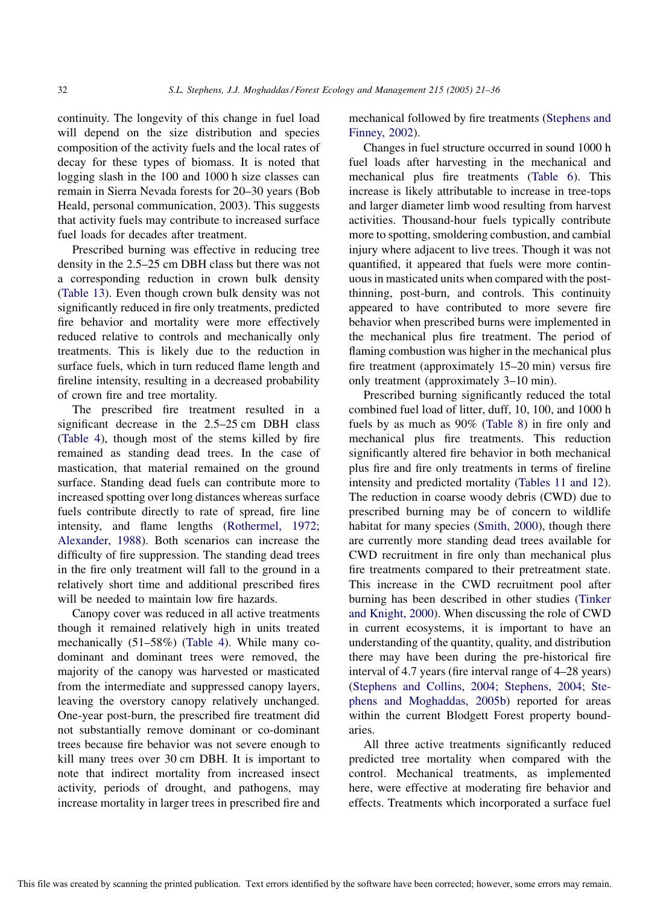continuity. The longevity of this change in fuel load will depend on the size distribution and species composition of the activity fuels and the local rates of decay for these types of biomass. It is noted that logging slash in the 100 and 1000 h size classes can remain in Sierra Nevada forests for 20–30 years (Bob Heald, personal communication, 2003). This suggests that activity fuels may contribute to increased surface fuel loads for decades after treatment.

Prescribed burning was effective in reducing tree density in the 2.5–25 cm DBH class but there was not a corresponding reduction in crown bulk density ([Table 13](#page-10-0)). Even though crown bulk density was not significantly reduced in fire only treatments, predicted fire behavior and mortality were more effectively reduced relative to controls and mechanically only treatments. This is likely due to the reduction in surface fuels, which in turn reduced flame length and fireline intensity, resulting in a decreased probability of crown fire and tree mortality.

The prescribed fire treatment resulted in a significant decrease in the 2.5–25 cm DBH class ([Table 4\)](#page-5-0), though most of the stems killed by fire remained as standing dead trees. In the case of mastication, that material remained on the ground surface. Standing dead fuels can contribute more to increased spotting over long distances whereas surface fuels contribute directly to rate of spread, fire line intensity, and flame lengths ([Rothermel, 1972;](#page-14-0) [Alexander, 1988](#page-14-0)). Both scenarios can increase the difficulty of fire suppression. The standing dead trees in the fire only treatment will fall to the ground in a relatively short time and additional prescribed fires will be needed to maintain low fire hazards.

Canopy cover was reduced in all active treatments though it remained relatively high in units treated mechanically (51–58%) ([Table 4](#page-5-0)). While many codominant and dominant trees were removed, the majority of the canopy was harvested or masticated from the intermediate and suppressed canopy layers, leaving the overstory canopy relatively unchanged. One-year post-burn, the prescribed fire treatment did not substantially remove dominant or co-dominant trees because fire behavior was not severe enough to kill many trees over 30 cm DBH. It is important to note that indirect mortality from increased insect activity, periods of drought, and pathogens, may increase mortality in larger trees in prescribed fire and mechanical followed by fire treatments ([Stephens and](#page-15-0) [Finney, 2002](#page-15-0)).

Changes in fuel structure occurred in sound 1000 h fuel loads after harvesting in the mechanical and mechanical plus fire treatments [\(Table 6\)](#page-6-0). This increase is likely attributable to increase in tree-tops and larger diameter limb wood resulting from harvest activities. Thousand-hour fuels typically contribute more to spotting, smoldering combustion, and cambial injury where adjacent to live trees. Though it was not quantified, it appeared that fuels were more continuous in masticated units when compared with the postthinning, post-burn, and controls. This continuity appeared to have contributed to more severe fire behavior when prescribed burns were implemented in the mechanical plus fire treatment. The period of flaming combustion was higher in the mechanical plus fire treatment (approximately 15–20 min) versus fire only treatment (approximately 3–10 min).

Prescribed burning significantly reduced the total combined fuel load of litter, duff, 10, 100, and 1000 h fuels by as much as 90% [\(Table 8\)](#page-7-0) in fire only and mechanical plus fire treatments. This reduction significantly altered fire behavior in both mechanical plus fire and fire only treatments in terms of fireline intensity and predicted mortality ([Tables 11 and 12\)](#page-9-0). The reduction in coarse woody debris (CWD) due to prescribed burning may be of concern to wildlife habitat for many species [\(Smith, 2000\)](#page-15-0), though there are currently more standing dead trees available for CWD recruitment in fire only than mechanical plus fire treatments compared to their pretreatment state. This increase in the CWD recruitment pool after burning has been described in other studies [\(Tinker](#page-15-0) [and Knight, 2000](#page-15-0)). When discussing the role of CWD in current ecosystems, it is important to have an understanding of the quantity, quality, and distribution there may have been during the pre-historical fire interval of 4.7 years (fire interval range of 4–28 years) ([Stephens and Collins, 2004; Stephens, 2004; Ste](#page-15-0)[phens and Moghaddas, 2005b\)](#page-15-0) reported for areas within the current Blodgett Forest property boundaries.

All three active treatments significantly reduced predicted tree mortality when compared with the control. Mechanical treatments, as implemented here, were effective at moderating fire behavior and effects. Treatments which incorporated a surface fuel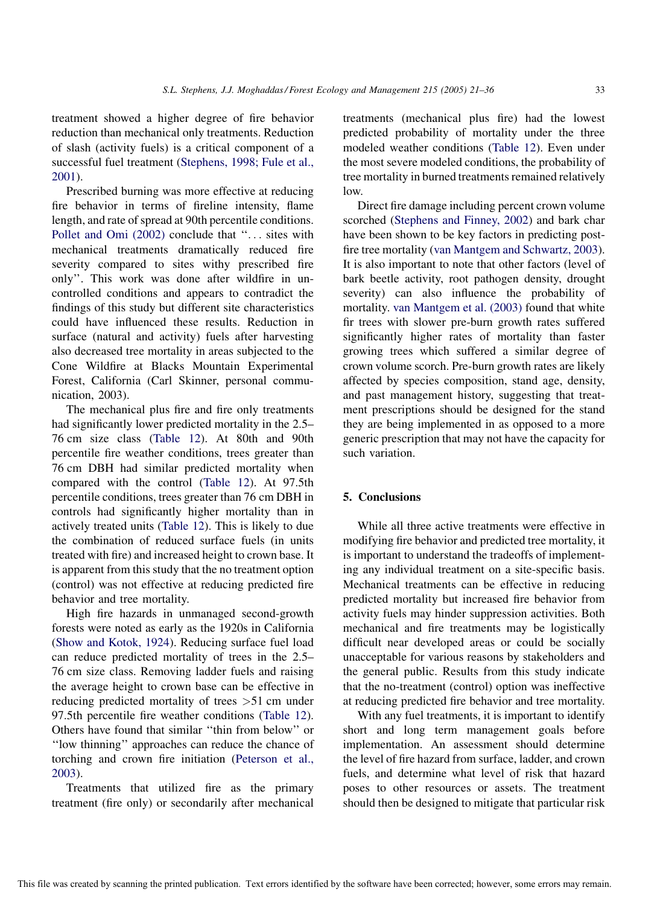treatment showed a higher degree of fire behavior reduction than mechanical only treatments. Reduction of slash (activity fuels) is a critical component of a successful fuel treatment [\(Stephens, 1998; Fule et al.,](#page-15-0) [2001](#page-15-0)).

Prescribed burning was more effective at reducing fire behavior in terms of fireline intensity, flame length, and rate of spread at 90th percentile conditions. [Pollet and Omi \(2002\)](#page-14-0) conclude that ''... sites with mechanical treatments dramatically reduced fire severity compared to sites withy prescribed fire only''. This work was done after wildfire in uncontrolled conditions and appears to contradict the findings of this study but different site characteristics could have influenced these results. Reduction in surface (natural and activity) fuels after harvesting also decreased tree mortality in areas subjected to the Cone Wildfire at Blacks Mountain Experimental Forest, California (Carl Skinner, personal communication, 2003).

The mechanical plus fire and fire only treatments had significantly lower predicted mortality in the 2.5– 76 cm size class ([Table 12\)](#page-9-0). At 80th and 90th percentile fire weather conditions, trees greater than 76 cm DBH had similar predicted mortality when compared with the control [\(Table 12\)](#page-9-0). At 97.5th percentile conditions, trees greater than 76 cm DBH in controls had significantly higher mortality than in actively treated units ([Table 12\)](#page-9-0). This is likely to due the combination of reduced surface fuels (in units treated with fire) and increased height to crown base. It is apparent from this study that the no treatment option (control) was not effective at reducing predicted fire behavior and tree mortality.

High fire hazards in unmanaged second-growth forests were noted as early as the 1920s in California ([Show and Kotok, 1924](#page-15-0)). Reducing surface fuel load can reduce predicted mortality of trees in the 2.5– 76 cm size class. Removing ladder fuels and raising the average height to crown base can be effective in reducing predicted mortality of trees >51 cm under 97.5th percentile fire weather conditions ([Table 12\)](#page-9-0). Others have found that similar ''thin from below'' or ''low thinning'' approaches can reduce the chance of torching and crown fire initiation ([Peterson et al.,](#page-14-0) [2003](#page-14-0)).

Treatments that utilized fire as the primary treatment (fire only) or secondarily after mechanical treatments (mechanical plus fire) had the lowest predicted probability of mortality under the three modeled weather conditions [\(Table 12](#page-9-0)). Even under the most severe modeled conditions, the probability of tree mortality in burned treatments remained relatively low.

Direct fire damage including percent crown volume scorched ([Stephens and Finney, 2002\)](#page-15-0) and bark char have been shown to be key factors in predicting postfire tree mortality [\(van Mantgem and Schwartz, 2003](#page-15-0)). It is also important to note that other factors (level of bark beetle activity, root pathogen density, drought severity) can also influence the probability of mortality. [van Mantgem et al. \(2003\)](#page-15-0) found that white fir trees with slower pre-burn growth rates suffered significantly higher rates of mortality than faster growing trees which suffered a similar degree of crown volume scorch. Pre-burn growth rates are likely affected by species composition, stand age, density, and past management history, suggesting that treatment prescriptions should be designed for the stand they are being implemented in as opposed to a more generic prescription that may not have the capacity for such variation.

#### 5. Conclusions

While all three active treatments were effective in modifying fire behavior and predicted tree mortality, it is important to understand the tradeoffs of implementing any individual treatment on a site-specific basis. Mechanical treatments can be effective in reducing predicted mortality but increased fire behavior from activity fuels may hinder suppression activities. Both mechanical and fire treatments may be logistically difficult near developed areas or could be socially unacceptable for various reasons by stakeholders and the general public. Results from this study indicate that the no-treatment (control) option was ineffective at reducing predicted fire behavior and tree mortality.

With any fuel treatments, it is important to identify short and long term management goals before implementation. An assessment should determine the level of fire hazard from surface, ladder, and crown fuels, and determine what level of risk that hazard poses to other resources or assets. The treatment should then be designed to mitigate that particular risk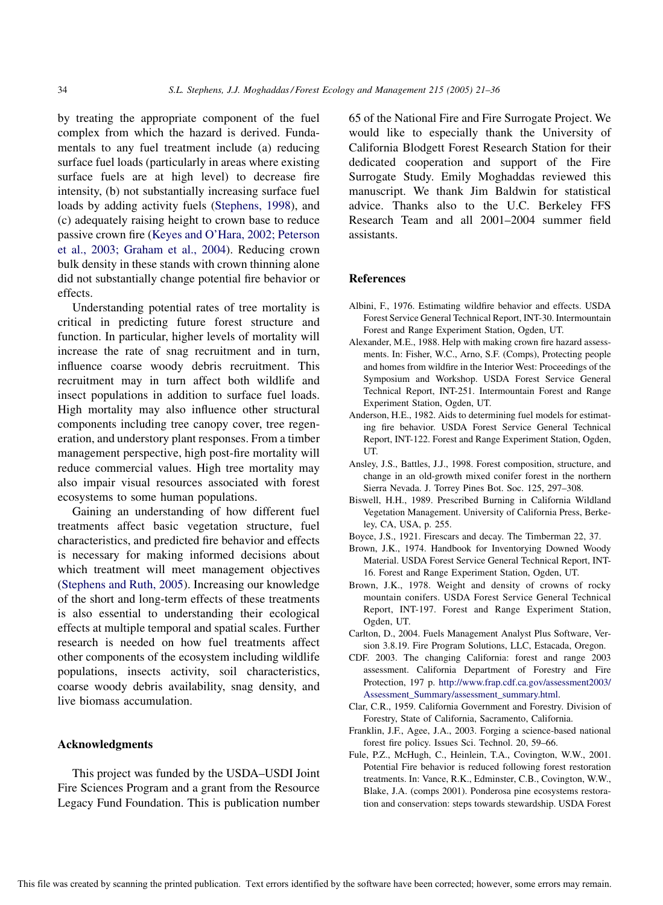<span id="page-13-0"></span>by treating the appropriate component of the fuel complex from which the hazard is derived. Fundamentals to any fuel treatment include (a) reducing surface fuel loads (particularly in areas where existing surface fuels are at high level) to decrease fire intensity, (b) not substantially increasing surface fuel loads by adding activity fuels ([Stephens, 1998\)](#page-15-0), and (c) adequately raising height to crown base to reduce passive crown fire ([Keyes and O'Hara, 2002; Peterson](#page-14-0) [et al., 2003; Graham et al., 2004\)](#page-14-0). Reducing crown bulk density in these stands with crown thinning alone did not substantially change potential fire behavior or effects.

Understanding potential rates of tree mortality is critical in predicting future forest structure and function. In particular, higher levels of mortality will increase the rate of snag recruitment and in turn, influence coarse woody debris recruitment. This recruitment may in turn affect both wildlife and insect populations in addition to surface fuel loads. High mortality may also influence other structural components including tree canopy cover, tree regeneration, and understory plant responses. From a timber management perspective, high post-fire mortality will reduce commercial values. High tree mortality may also impair visual resources associated with forest ecosystems to some human populations.

Gaining an understanding of how different fuel treatments affect basic vegetation structure, fuel characteristics, and predicted fire behavior and effects is necessary for making informed decisions about which treatment will meet management objectives ([Stephens and Ruth, 2005\)](#page-15-0). Increasing our knowledge of the short and long-term effects of these treatments is also essential to understanding their ecological effects at multiple temporal and spatial scales. Further research is needed on how fuel treatments affect other components of the ecosystem including wildlife populations, insects activity, soil characteristics, coarse woody debris availability, snag density, and live biomass accumulation.

## Acknowledgments

This project was funded by the USDA–USDI Joint Fire Sciences Program and a grant from the Resource Legacy Fund Foundation. This is publication number

65 of the National Fire and Fire Surrogate Project. We would like to especially thank the University of California Blodgett Forest Research Station for their dedicated cooperation and support of the Fire Surrogate Study. Emily Moghaddas reviewed this manuscript. We thank Jim Baldwin for statistical advice. Thanks also to the U.C. Berkeley FFS Research Team and all 2001–2004 summer field assistants.

### References

- Albini, F., 1976. Estimating wildfire behavior and effects. USDA Forest Service General Technical Report, INT-30. Intermountain Forest and Range Experiment Station, Ogden, UT.
- Alexander, M.E., 1988. Help with making crown fire hazard assessments. In: Fisher, W.C., Arno, S.F. (Comps), Protecting people and homes from wildfire in the Interior West: Proceedings of the Symposium and Workshop. USDA Forest Service General Technical Report, INT-251. Intermountain Forest and Range Experiment Station, Ogden, UT.
- Anderson, H.E., 1982. Aids to determining fuel models for estimating fire behavior. USDA Forest Service General Technical Report, INT-122. Forest and Range Experiment Station, Ogden, UT.
- Ansley, J.S., Battles, J.J., 1998. Forest composition, structure, and change in an old-growth mixed conifer forest in the northern Sierra Nevada. J. Torrey Pines Bot. Soc. 125, 297–308.
- Biswell, H.H., 1989. Prescribed Burning in California Wildland Vegetation Management. University of California Press, Berkeley, CA, USA, p. 255.
- Boyce, J.S., 1921. Firescars and decay. The Timberman 22, 37.
- Brown, J.K., 1974. Handbook for Inventorying Downed Woody Material. USDA Forest Service General Technical Report, INT-16. Forest and Range Experiment Station, Ogden, UT.
- Brown, J.K., 1978. Weight and density of crowns of rocky mountain conifers. USDA Forest Service General Technical Report, INT-197. Forest and Range Experiment Station, Ogden, UT.
- Carlton, D., 2004. Fuels Management Analyst Plus Software, Version 3.8.19. Fire Program Solutions, LLC, Estacada, Oregon.
- CDF. 2003. The changing California: forest and range 2003 assessment. California Department of Forestry and Fire Protection, 197 p. [http://www.frap.cdf.ca.gov/assessment2003/](http://www.frap.cdf.ca.gov/assessment2003/Assessment_Summary/assessment_summary.html) [Assessment\\_Summary/assessment\\_summary.html](http://www.frap.cdf.ca.gov/assessment2003/Assessment_Summary/assessment_summary.html).
- Clar, C.R., 1959. California Government and Forestry. Division of Forestry, State of California, Sacramento, California.
- Franklin, J.F., Agee, J.A., 2003. Forging a science-based national forest fire policy. Issues Sci. Technol. 20, 59–66.
- Fule, P.Z., McHugh, C., Heinlein, T.A., Covington, W.W., 2001. Potential Fire behavior is reduced following forest restoration treatments. In: Vance, R.K., Edminster, C.B., Covington, W.W., Blake, J.A. (comps 2001). Ponderosa pine ecosystems restoration and conservation: steps towards stewardship. USDA Forest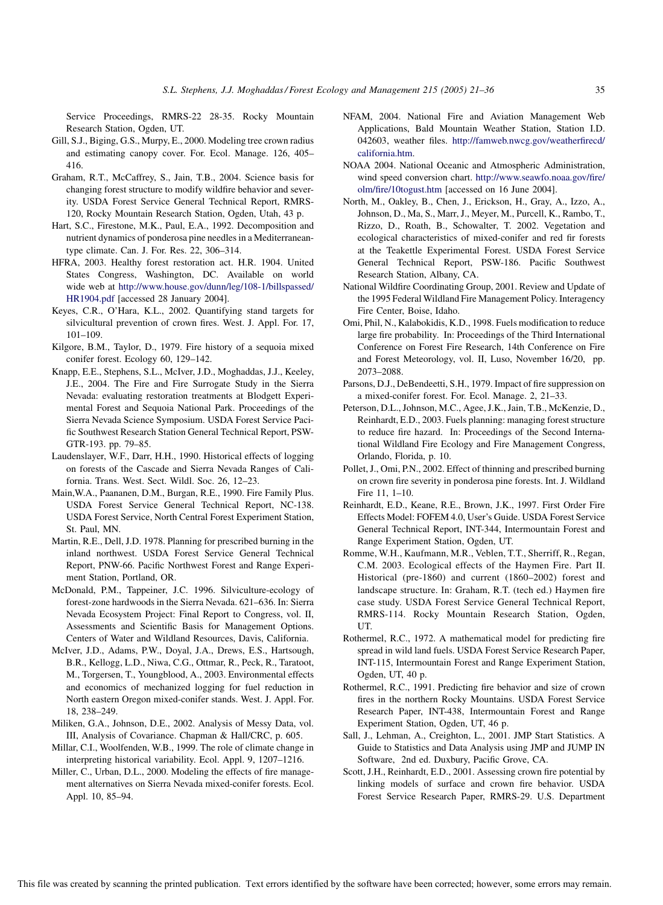<span id="page-14-0"></span>Service Proceedings, RMRS-22 28-35. Rocky Mountain Research Station, Ogden, UT.

- Gill, S.J., Biging, G.S., Murpy, E., 2000. Modeling tree crown radius and estimating canopy cover. For. Ecol. Manage. 126, 405– 416.
- Graham, R.T., McCaffrey, S., Jain, T.B., 2004. Science basis for changing forest structure to modify wildfire behavior and severity. USDA Forest Service General Technical Report, RMRS-120, Rocky Mountain Research Station, Ogden, Utah, 43 p.
- Hart, S.C., Firestone, M.K., Paul, E.A., 1992. Decomposition and nutrient dynamics of ponderosa pine needles in a Mediterraneantype climate. Can. J. For. Res. 22, 306–314.
- HFRA, 2003. Healthy forest restoration act. H.R. 1904. United States Congress, Washington, DC. Available on world wide web at [http://www.house.gov/dunn/leg/108-1/billspassed/](http://www.house.gov/dunn/leg/108-1/billspassed/HR1904.pdf) [HR1904.pdf](http://www.house.gov/dunn/leg/108-1/billspassed/HR1904.pdf) [accessed 28 January 2004].
- Keyes, C.R., O'Hara, K.L., 2002. Quantifying stand targets for silvicultural prevention of crown fires. West. J. Appl. For. 17, 101–109.
- Kilgore, B.M., Taylor, D., 1979. Fire history of a sequoia mixed conifer forest. Ecology 60, 129–142.
- Knapp, E.E., Stephens, S.L., McIver, J.D., Moghaddas, J.J., Keeley, J.E., 2004. The Fire and Fire Surrogate Study in the Sierra Nevada: evaluating restoration treatments at Blodgett Experimental Forest and Sequoia National Park. Proceedings of the Sierra Nevada Science Symposium. USDA Forest Service Pacific Southwest Research Station General Technical Report, PSW-GTR-193. pp. 79–85.
- Laudenslayer, W.F., Darr, H.H., 1990. Historical effects of logging on forests of the Cascade and Sierra Nevada Ranges of California. Trans. West. Sect. Wildl. Soc. 26, 12–23.
- Main,W.A., Paananen, D.M., Burgan, R.E., 1990. Fire Family Plus. USDA Forest Service General Technical Report, NC-138. USDA Forest Service, North Central Forest Experiment Station, St. Paul, MN.
- Martin, R.E., Dell, J.D. 1978. Planning for prescribed burning in the inland northwest. USDA Forest Service General Technical Report, PNW-66. Pacific Northwest Forest and Range Experiment Station, Portland, OR.
- McDonald, P.M., Tappeiner, J.C. 1996. Silviculture-ecology of forest-zone hardwoods in the Sierra Nevada. 621–636. In: Sierra Nevada Ecosystem Project: Final Report to Congress, vol. II, Assessments and Scientific Basis for Management Options. Centers of Water and Wildland Resources, Davis, California.
- McIver, J.D., Adams, P.W., Doyal, J.A., Drews, E.S., Hartsough, B.R., Kellogg, L.D., Niwa, C.G., Ottmar, R., Peck, R., Taratoot, M., Torgersen, T., Youngblood, A., 2003. Environmental effects and economics of mechanized logging for fuel reduction in North eastern Oregon mixed-conifer stands. West. J. Appl. For. 18, 238–249.
- Miliken, G.A., Johnson, D.E., 2002. Analysis of Messy Data, vol. III, Analysis of Covariance. Chapman & Hall/CRC, p. 605.
- Millar, C.I., Woolfenden, W.B., 1999. The role of climate change in interpreting historical variability. Ecol. Appl. 9, 1207–1216.
- Miller, C., Urban, D.L., 2000. Modeling the effects of fire management alternatives on Sierra Nevada mixed-conifer forests. Ecol. Appl. 10, 85–94.
- NFAM, 2004. National Fire and Aviation Management Web Applications, Bald Mountain Weather Station, Station I.D. 042603, weather files. [http://famweb.nwcg.gov/weatherfirecd/](http://famweb.nwcg.gov/weatherfirecd/california.htm) [california.htm.](http://famweb.nwcg.gov/weatherfirecd/california.htm)
- NOAA 2004. National Oceanic and Atmospheric Administration, wind speed conversion chart. [http://www.seawfo.noaa.gov/fire/](http://www.seawfo.noaa.gov/fire/olm/fire/10togust.htm) [olm/fire/10togust.htm](http://www.seawfo.noaa.gov/fire/olm/fire/10togust.htm) [accessed on 16 June 2004].
- North, M., Oakley, B., Chen, J., Erickson, H., Gray, A., Izzo, A., Johnson, D., Ma, S., Marr, J., Meyer, M., Purcell, K., Rambo, T., Rizzo, D., Roath, B., Schowalter, T. 2002. Vegetation and ecological characteristics of mixed-conifer and red fir forests at the Teakettle Experimental Forest. USDA Forest Service General Technical Report, PSW-186. Pacific Southwest Research Station, Albany, CA.
- National Wildfire Coordinating Group, 2001. Review and Update of the 1995 Federal Wildland Fire Management Policy. Interagency Fire Center, Boise, Idaho.
- Omi, Phil, N., Kalabokidis, K.D., 1998. Fuels modification to reduce large fire probability. In: Proceedings of the Third International Conference on Forest Fire Research, 14th Conference on Fire and Forest Meteorology, vol. II, Luso, November 16/20, pp. 2073–2088.
- Parsons, D.J., DeBendeetti, S.H., 1979. Impact of fire suppression on a mixed-conifer forest. For. Ecol. Manage. 2, 21–33.
- Peterson, D.L., Johnson, M.C., Agee, J.K., Jain, T.B., McKenzie, D., Reinhardt, E.D., 2003. Fuels planning: managing forest structure to reduce fire hazard. In: Proceedings of the Second International Wildland Fire Ecology and Fire Management Congress, Orlando, Florida, p. 10.
- Pollet, J., Omi, P.N., 2002. Effect of thinning and prescribed burning on crown fire severity in ponderosa pine forests. Int. J. Wildland Fire 11, 1–10.
- Reinhardt, E.D., Keane, R.E., Brown, J.K., 1997. First Order Fire Effects Model: FOFEM 4.0, User's Guide. USDA Forest Service General Technical Report, INT-344, Intermountain Forest and Range Experiment Station, Ogden, UT.
- Romme, W.H., Kaufmann, M.R., Veblen, T.T., Sherriff, R., Regan, C.M. 2003. Ecological effects of the Haymen Fire. Part II. Historical (pre-1860) and current (1860–2002) forest and landscape structure. In: Graham, R.T. (tech ed.) Haymen fire case study. USDA Forest Service General Technical Report, RMRS-114. Rocky Mountain Research Station, Ogden, UT.
- Rothermel, R.C., 1972. A mathematical model for predicting fire spread in wild land fuels. USDA Forest Service Research Paper, INT-115, Intermountain Forest and Range Experiment Station, Ogden, UT, 40 p.
- Rothermel, R.C., 1991. Predicting fire behavior and size of crown fires in the northern Rocky Mountains. USDA Forest Service Research Paper, INT-438, Intermountain Forest and Range Experiment Station, Ogden, UT, 46 p.
- Sall, J., Lehman, A., Creighton, L., 2001. JMP Start Statistics. A Guide to Statistics and Data Analysis using JMP and JUMP IN Software, 2nd ed. Duxbury, Pacific Grove, CA.
- Scott, J.H., Reinhardt, E.D., 2001. Assessing crown fire potential by linking models of surface and crown fire behavior. USDA Forest Service Research Paper, RMRS-29. U.S. Department